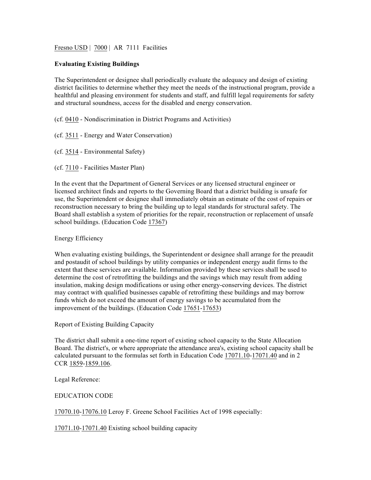Fresno USD | 7000 | AR 7111 Facilities

## **Evaluating Existing Buildings**

The Superintendent or designee shall periodically evaluate the adequacy and design of existing district facilities to determine whether they meet the needs of the instructional program, provide a healthful and pleasing environment for students and staff, and fulfill legal requirements for safety and structural soundness, access for the disabled and energy conservation.

(cf. 0410 - Nondiscrimination in District Programs and Activities)

(cf. 3511 - Energy and Water Conservation)

(cf. 3514 - Environmental Safety)

(cf. 7110 - Facilities Master Plan)

In the event that the Department of General Services or any licensed structural engineer or licensed architect finds and reports to the Governing Board that a district building is unsafe for use, the Superintendent or designee shall immediately obtain an estimate of the cost of repairs or reconstruction necessary to bring the building up to legal standards for structural safety. The Board shall establish a system of priorities for the repair, reconstruction or replacement of unsafe school buildings. (Education Code 17367)

Energy Efficiency

When evaluating existing buildings, the Superintendent or designee shall arrange for the preaudit and postaudit of school buildings by utility companies or independent energy audit firms to the extent that these services are available. Information provided by these services shall be used to determine the cost of retrofitting the buildings and the savings which may result from adding insulation, making design modifications or using other energy-conserving devices. The district may contract with qualified businesses capable of retrofitting these buildings and may borrow funds which do not exceed the amount of energy savings to be accumulated from the improvement of the buildings. (Education Code 17651-17653)

Report of Existing Building Capacity

The district shall submit a one-time report of existing school capacity to the State Allocation Board. The district's, or where appropriate the attendance area's, existing school capacity shall be calculated pursuant to the formulas set forth in Education Code 17071.10-17071.40 and in 2 CCR 1859-1859.106.

Legal Reference:

EDUCATION CODE

17070.10-17076.10 Leroy F. Greene School Facilities Act of 1998 especially:

17071.10-17071.40 Existing school building capacity